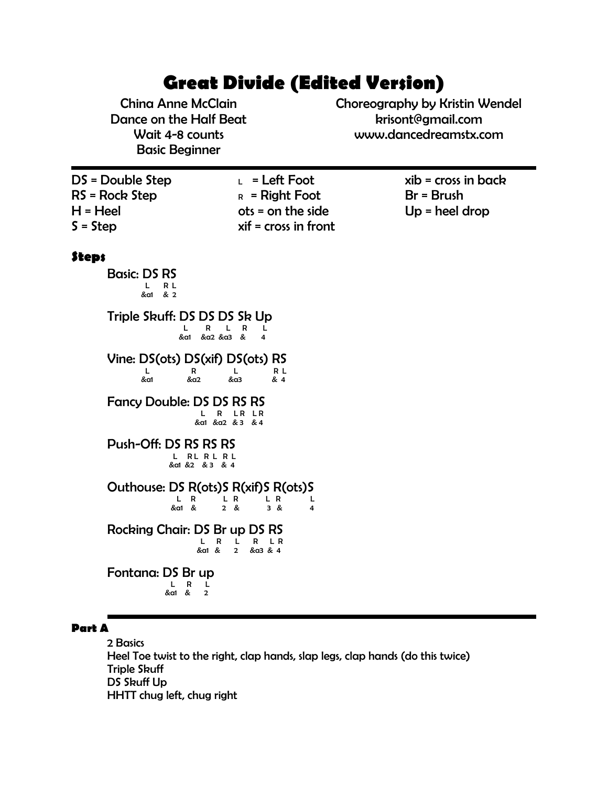# **Great Divide (Edited Version)**

China Anne McClain Dance on the Half Beat Wait 4-8 counts Basic Beginner

Choreography by Kristin Wendel krisont@gmail.com www.dancedreamstx.com

DS = Double Step RS = Rock Step H = Heel S = Step

 $L =$  Left Foot  $R =$  Right Foot ots = on the side xif = cross in front  $xib = cross in back$ Br = Brush Up = heel drop

## **Steps**

Basic: DS RS **L** R L<br>L R L<br>ka1 & 2

Triple Skuff: DS DS DS Sk Up  $L$  R L R L<br> $k$  d & a1 & a2 & a3 & 4

Vine: DS(ots) DS(xif) DS(ots) RS  $L$  R  $L$  R  $R$ &a1 &a2 &a3 & 4

Fancy Double: DS DS RS RS L R LR LR<br>L R LR LR<br>dd &a2 & 3 & 4

Push-Off: DS RS RS RS L RL R L R L<br>L R L R L R L<br>&a1 &2 & 3 & 4

Outhouse:  $DS \nvert R(ots)$ S R(xif)S R(ots)S | L R L R L R L R L L R L R L R L L R L L R L L R L L R L L R L L R L R L R L R L R L R L R L R L R L R L R L <br>|-

&a1 & 2 & 3 & 4

Rocking Chair: DS Br up DS RS L R L R L R &a1 & 2 &a3 & 4

Fontana: DS Br up L R L **Example 2** & 2 & 2  $\frac{1}{2}$  & 2  $\frac{1}{2}$ 

#### **Part A**

2 Basics Heel Toe twist to the right, clap hands, slap legs, clap hands (do this twice) Triple Skuff DS Skuff Up HHTT chug left, chug right